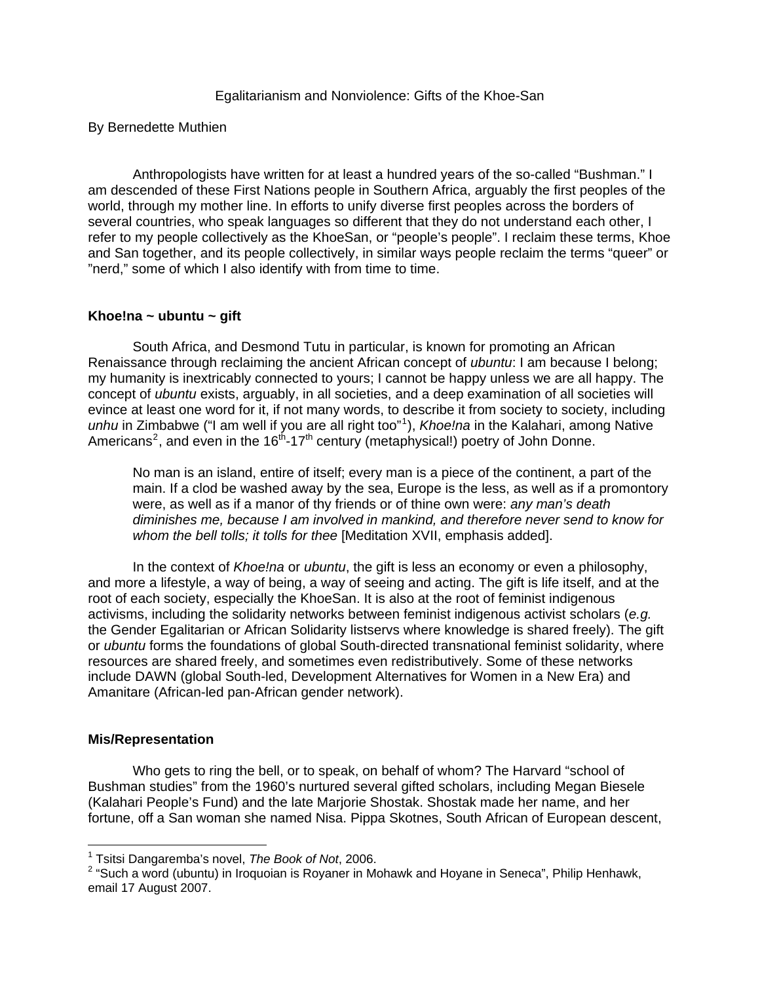## <span id="page-0-1"></span><span id="page-0-0"></span>By Bernedette Muthien

Anthropologists have written for at least a hundred years of the so-called "Bushman." I am descended of these First Nations people in Southern Africa, arguably the first peoples of the world, through my mother line. In efforts to unify diverse first peoples across the borders of several countries, who speak languages so different that they do not understand each other, I refer to my people collectively as the KhoeSan, or "people's people". I reclaim these terms, Khoe and San together, and its people collectively, in similar ways people reclaim the terms "queer" or "nerd," some of which I also identify with from time to time.

## **Khoe!na ~ ubuntu ~ gift**

South Africa, and Desmond Tutu in particular, is known for promoting an African Renaissance through reclaiming the ancient African concept of *ubuntu*: I am because I belong; my humanity is inextricably connected to yours; I cannot be happy unless we are all happy. The concept of *ubuntu* exists, arguably, in all societies, and a deep examination of all societies will evince at least one word for it, if not many words, to describe it from society to society, including unhu in Zimbabwe ("I am well if you are all right too"<sup>[1](#page-0-0)</sup>), *Khoe!na* in the Kalahari, among Native Americans<sup>[2](#page-0-1)</sup>, and even in the 16<sup>th</sup>-17<sup>th</sup> century (metaphysical!) poetry of John Donne.

No man is an island, entire of itself; every man is a piece of the continent, a part of the main. If a clod be washed away by the sea, Europe is the less, as well as if a promontory were, as well as if a manor of thy friends or of thine own were: *any man's death diminishes me, because I am involved in mankind, and therefore never send to know for whom the bell tolls; it tolls for thee* [Meditation XVII, emphasis added].

In the context of *Khoe!na* or *ubuntu*, the gift is less an economy or even a philosophy, and more a lifestyle, a way of being, a way of seeing and acting. The gift is life itself, and at the root of each society, especially the KhoeSan. It is also at the root of feminist indigenous activisms, including the solidarity networks between feminist indigenous activist scholars (*e.g.* the Gender Egalitarian or African Solidarity listservs where knowledge is shared freely). The gift or *ubuntu* forms the foundations of global South-directed transnational feminist solidarity, where resources are shared freely, and sometimes even redistributively. Some of these networks include DAWN (global South-led, Development Alternatives for Women in a New Era) and Amanitare (African-led pan-African gender network).

# **Mis/Representation**

 $\overline{a}$ 

Who gets to ring the bell, or to speak, on behalf of whom? The Harvard "school of Bushman studies" from the 1960's nurtured several gifted scholars, including Megan Biesele (Kalahari People's Fund) and the late Marjorie Shostak. Shostak made her name, and her fortune, off a San woman she named Nisa. Pippa Skotnes, South African of European descent,

<sup>1</sup> Tsitsi Dangaremba's novel, *The Book of Not*, 2006.

<sup>&</sup>lt;sup>2</sup> "Such a word (ubuntu) in Iroquoian is Royaner in Mohawk and Hoyane in Seneca", Philip Henhawk, email 17 August 2007.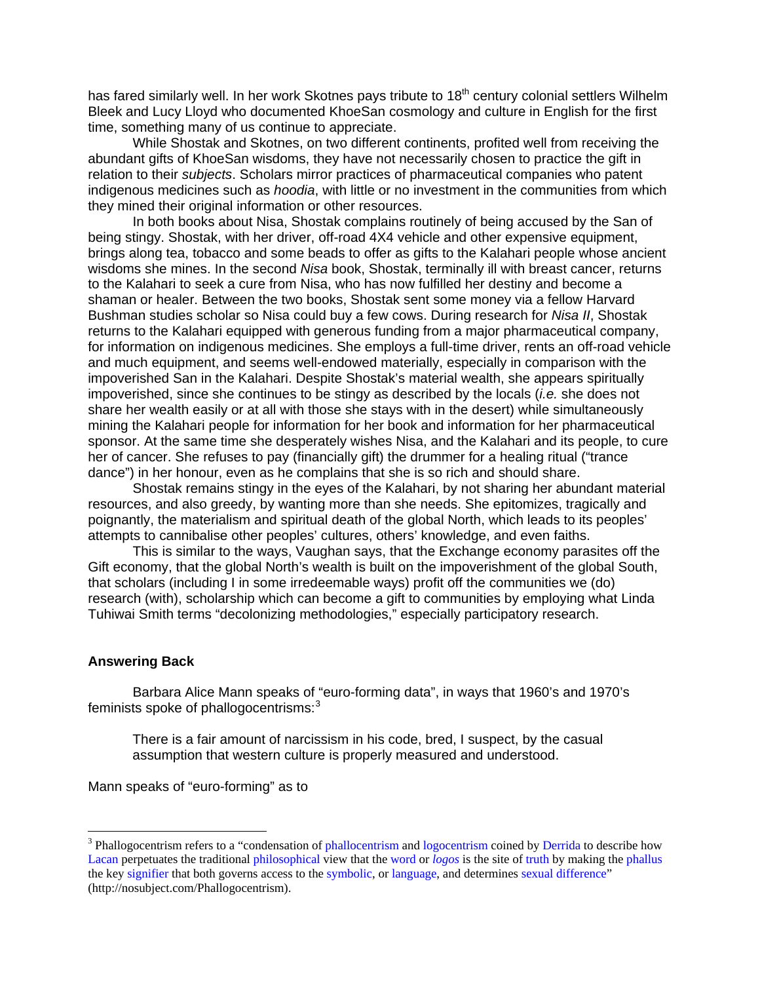<span id="page-1-0"></span>has fared similarly well. In her work Skotnes pays tribute to 18<sup>th</sup> century colonial settlers Wilhelm Bleek and Lucy Lloyd who documented KhoeSan cosmology and culture in English for the first time, something many of us continue to appreciate.

 While Shostak and Skotnes, on two different continents, profited well from receiving the abundant gifts of KhoeSan wisdoms, they have not necessarily chosen to practice the gift in relation to their *subjects*. Scholars mirror practices of pharmaceutical companies who patent indigenous medicines such as *hoodia*, with little or no investment in the communities from which they mined their original information or other resources.

 In both books about Nisa, Shostak complains routinely of being accused by the San of being stingy. Shostak, with her driver, off-road 4X4 vehicle and other expensive equipment, brings along tea, tobacco and some beads to offer as gifts to the Kalahari people whose ancient wisdoms she mines. In the second *Nisa* book, Shostak, terminally ill with breast cancer, returns to the Kalahari to seek a cure from Nisa, who has now fulfilled her destiny and become a shaman or healer. Between the two books, Shostak sent some money via a fellow Harvard Bushman studies scholar so Nisa could buy a few cows. During research for *Nisa II*, Shostak returns to the Kalahari equipped with generous funding from a major pharmaceutical company, for information on indigenous medicines. She employs a full-time driver, rents an off-road vehicle and much equipment, and seems well-endowed materially, especially in comparison with the impoverished San in the Kalahari. Despite Shostak's material wealth, she appears spiritually impoverished, since she continues to be stingy as described by the locals (*i.e.* she does not share her wealth easily or at all with those she stays with in the desert) while simultaneously mining the Kalahari people for information for her book and information for her pharmaceutical sponsor. At the same time she desperately wishes Nisa, and the Kalahari and its people, to cure her of cancer. She refuses to pay (financially gift) the drummer for a healing ritual ("trance dance") in her honour, even as he complains that she is so rich and should share.

 Shostak remains stingy in the eyes of the Kalahari, by not sharing her abundant material resources, and also greedy, by wanting more than she needs. She epitomizes, tragically and poignantly, the materialism and spiritual death of the global North, which leads to its peoples' attempts to cannibalise other peoples' cultures, others' knowledge, and even faiths.

This is similar to the ways, Vaughan says, that the Exchange economy parasites off the Gift economy, that the global North's wealth is built on the impoverishment of the global South, that scholars (including I in some irredeemable ways) profit off the communities we (do) research (with), scholarship which can become a gift to communities by employing what Linda Tuhiwai Smith terms "decolonizing methodologies," especially participatory research.

#### **Answering Back**

 $\overline{a}$ 

Barbara Alice Mann speaks of "euro-forming data", in ways that 1960's and 1970's feminists spoke of phallogocentrisms: $3$ 

There is a fair amount of narcissism in his code, bred, I suspect, by the casual assumption that western culture is properly measured and understood.

Mann speaks of "euro-forming" as to

<sup>&</sup>lt;sup>3</sup> Phallogocentrism refers to a "condensation of [phallocentrism](http://nosubject.com/Phallocentrism) and [logocentrism](http://nosubject.com/Logocentrism) coined by [Derrida](http://nosubject.com/Derrida) to describe how [Lacan](http://nosubject.com/Lacan) perpetuates the traditional [philosophical](http://nosubject.com/Philosophy) view that the [word](http://nosubject.com/Word) or *[logos](http://nosubject.com/Logos)* is the site of [truth](http://nosubject.com/Truth) by making the [phallus](http://nosubject.com/Phallus) the key [signifier](http://nosubject.com/Signifier) that both governs access to the [symbolic,](http://nosubject.com/Symbolic) or [language,](http://nosubject.com/Language) and determines [sexual difference"](http://nosubject.com/Sexual_difference) (http://nosubject.com/Phallogocentrism).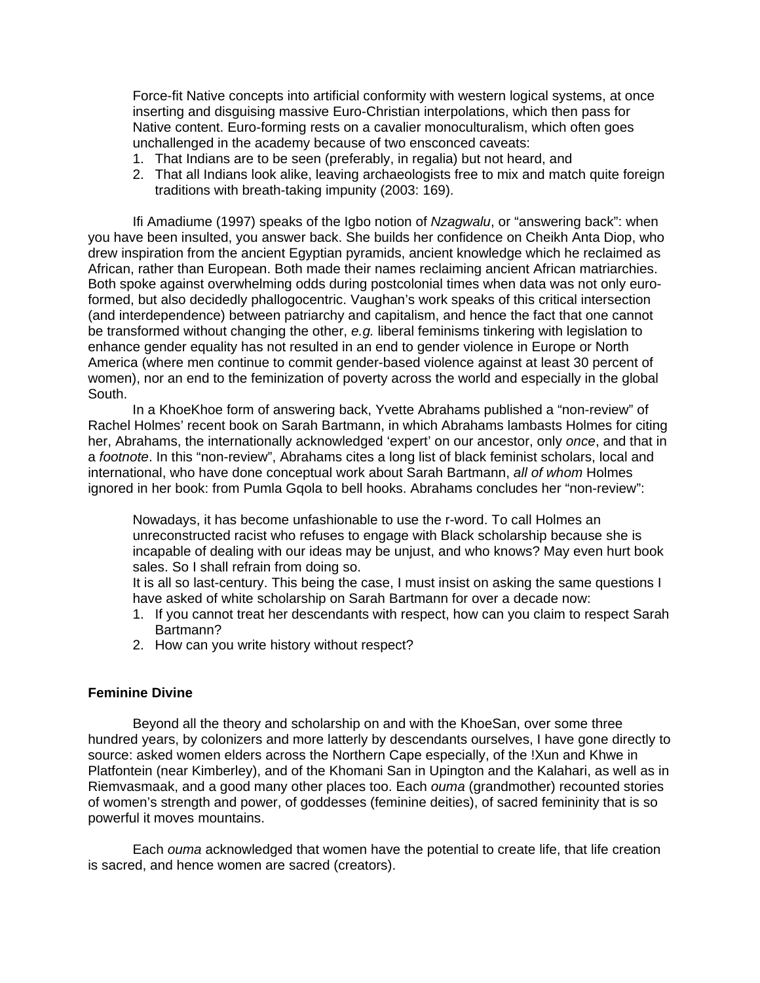Force-fit Native concepts into artificial conformity with western logical systems, at once inserting and disguising massive Euro-Christian interpolations, which then pass for Native content. Euro-forming rests on a cavalier monoculturalism, which often goes unchallenged in the academy because of two ensconced caveats:

- 1. That Indians are to be seen (preferably, in regalia) but not heard, and
- 2. That all Indians look alike, leaving archaeologists free to mix and match quite foreign traditions with breath-taking impunity (2003: 169).

Ifi Amadiume (1997) speaks of the Igbo notion of *Nzagwalu*, or "answering back": when you have been insulted, you answer back. She builds her confidence on Cheikh Anta Diop, who drew inspiration from the ancient Egyptian pyramids, ancient knowledge which he reclaimed as African, rather than European. Both made their names reclaiming ancient African matriarchies. Both spoke against overwhelming odds during postcolonial times when data was not only euroformed, but also decidedly phallogocentric. Vaughan's work speaks of this critical intersection (and interdependence) between patriarchy and capitalism, and hence the fact that one cannot be transformed without changing the other, *e.g.* liberal feminisms tinkering with legislation to enhance gender equality has not resulted in an end to gender violence in Europe or North America (where men continue to commit gender-based violence against at least 30 percent of women), nor an end to the feminization of poverty across the world and especially in the global South.

 In a KhoeKhoe form of answering back, Yvette Abrahams published a "non-review" of Rachel Holmes' recent book on Sarah Bartmann, in which Abrahams lambasts Holmes for citing her, Abrahams, the internationally acknowledged 'expert' on our ancestor, only *once*, and that in a *footnote*. In this "non-review", Abrahams cites a long list of black feminist scholars, local and international, who have done conceptual work about Sarah Bartmann, *all of whom* Holmes ignored in her book: from Pumla Gqola to bell hooks. Abrahams concludes her "non-review":

Nowadays, it has become unfashionable to use the r-word. To call Holmes an unreconstructed racist who refuses to engage with Black scholarship because she is incapable of dealing with our ideas may be unjust, and who knows? May even hurt book sales. So I shall refrain from doing so.

It is all so last-century. This being the case, I must insist on asking the same questions I have asked of white scholarship on Sarah Bartmann for over a decade now:

- 1. If you cannot treat her descendants with respect, how can you claim to respect Sarah Bartmann?
- 2. How can you write history without respect?

### **Feminine Divine**

Beyond all the theory and scholarship on and with the KhoeSan, over some three hundred years, by colonizers and more latterly by descendants ourselves, I have gone directly to source: asked women elders across the Northern Cape especially, of the !Xun and Khwe in Platfontein (near Kimberley), and of the Khomani San in Upington and the Kalahari, as well as in Riemvasmaak, and a good many other places too. Each *ouma* (grandmother) recounted stories of women's strength and power, of goddesses (feminine deities), of sacred femininity that is so powerful it moves mountains.

Each *ouma* acknowledged that women have the potential to create life, that life creation is sacred, and hence women are sacred (creators).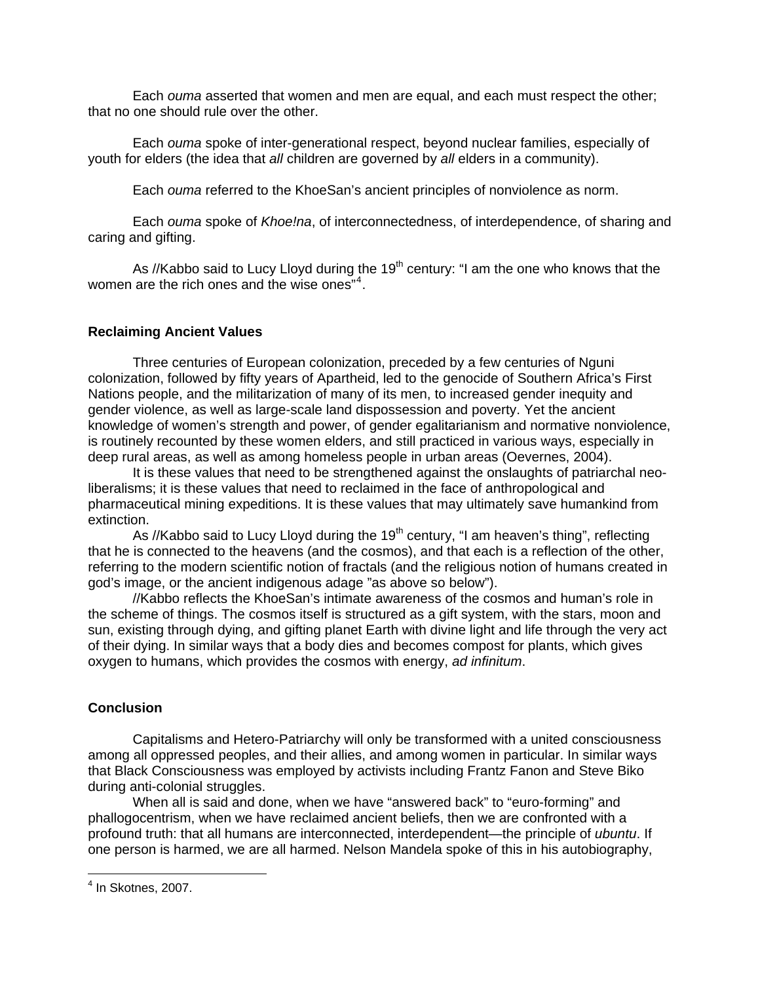<span id="page-3-0"></span>Each *ouma* asserted that women and men are equal, and each must respect the other; that no one should rule over the other.

Each *ouma* spoke of inter-generational respect, beyond nuclear families, especially of youth for elders (the idea that *all* children are governed by *all* elders in a community).

Each *ouma* referred to the KhoeSan's ancient principles of nonviolence as norm.

Each *ouma* spoke of *Khoe!na*, of interconnectedness, of interdependence, of sharing and caring and gifting.

As //Kabbo said to Lucy Lloyd during the  $19<sup>th</sup>$  century: "I am the one who knows that the women are the rich ones and the wise ones"<sup>[4](#page-3-0)</sup>.

## **Reclaiming Ancient Values**

Three centuries of European colonization, preceded by a few centuries of Nguni colonization, followed by fifty years of Apartheid, led to the genocide of Southern Africa's First Nations people, and the militarization of many of its men, to increased gender inequity and gender violence, as well as large-scale land dispossession and poverty. Yet the ancient knowledge of women's strength and power, of gender egalitarianism and normative nonviolence, is routinely recounted by these women elders, and still practiced in various ways, especially in deep rural areas, as well as among homeless people in urban areas (Oevernes, 2004).

 It is these values that need to be strengthened against the onslaughts of patriarchal neoliberalisms; it is these values that need to reclaimed in the face of anthropological and pharmaceutical mining expeditions. It is these values that may ultimately save humankind from extinction.

As //Kabbo said to Lucy Lloyd during the  $19<sup>th</sup>$  century, "I am heaven's thing", reflecting that he is connected to the heavens (and the cosmos), and that each is a reflection of the other, referring to the modern scientific notion of fractals (and the religious notion of humans created in god's image, or the ancient indigenous adage "as above so below").

 //Kabbo reflects the KhoeSan's intimate awareness of the cosmos and human's role in the scheme of things. The cosmos itself is structured as a gift system, with the stars, moon and sun, existing through dying, and gifting planet Earth with divine light and life through the very act of their dying. In similar ways that a body dies and becomes compost for plants, which gives oxygen to humans, which provides the cosmos with energy, *ad infinitum*.

# **Conclusion**

Capitalisms and Hetero-Patriarchy will only be transformed with a united consciousness among all oppressed peoples, and their allies, and among women in particular. In similar ways that Black Consciousness was employed by activists including Frantz Fanon and Steve Biko during anti-colonial struggles.

 When all is said and done, when we have "answered back" to "euro-forming" and phallogocentrism, when we have reclaimed ancient beliefs, then we are confronted with a profound truth: that all humans are interconnected, interdependent—the principle of *ubuntu*. If one person is harmed, we are all harmed. Nelson Mandela spoke of this in his autobiography,

 4 In Skotnes, 2007.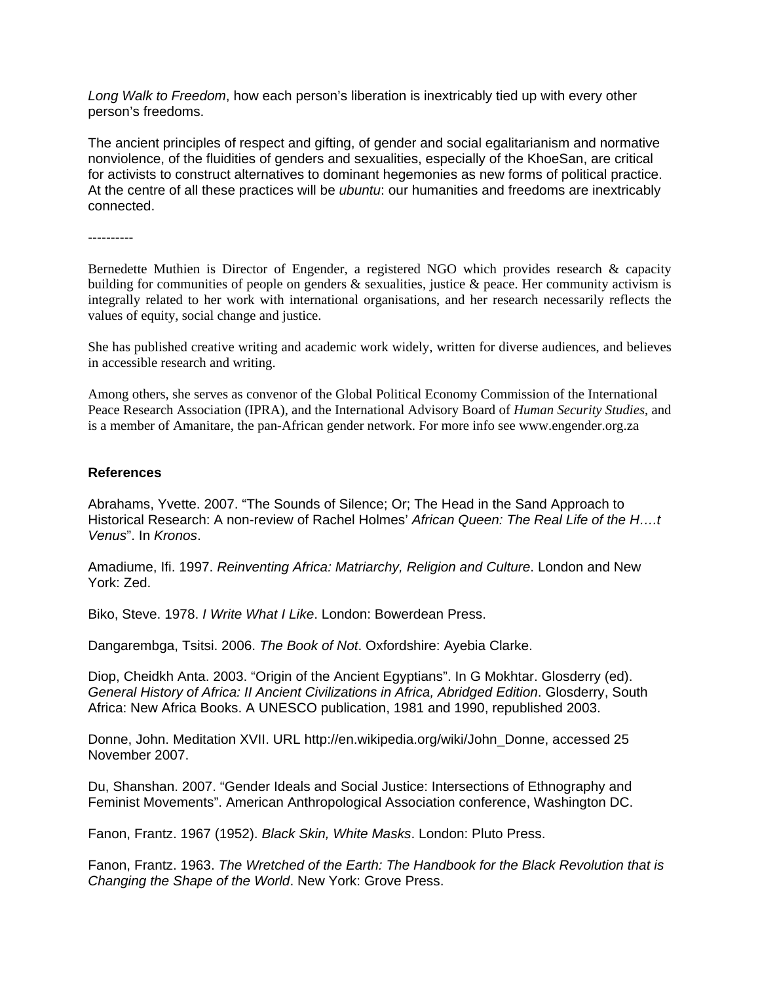*Long Walk to Freedom*, how each person's liberation is inextricably tied up with every other person's freedoms.

The ancient principles of respect and gifting, of gender and social egalitarianism and normative nonviolence, of the fluidities of genders and sexualities, especially of the KhoeSan, are critical for activists to construct alternatives to dominant hegemonies as new forms of political practice. At the centre of all these practices will be *ubuntu*: our humanities and freedoms are inextricably connected.

----------

Bernedette Muthien is Director of Engender, a registered NGO which provides research & capacity building for communities of people on genders & sexualities, justice & peace. Her community activism is integrally related to her work with international organisations, and her research necessarily reflects the values of equity, social change and justice.

She has published creative writing and academic work widely, written for diverse audiences, and believes in accessible research and writing.

Among others, she serves as convenor of the Global Political Economy Commission of the International Peace Research Association (IPRA), and the International Advisory Board of *Human Security Studies*, and is a member of Amanitare, the pan-African gender network. For more info see www.engender.org.za

### **References**

Abrahams, Yvette. 2007. "The Sounds of Silence; Or; The Head in the Sand Approach to Historical Research: A non-review of Rachel Holmes' *African Queen: The Real Life of the H….t Venus*". In *Kronos*.

Amadiume, Ifi. 1997. *Reinventing Africa: Matriarchy, Religion and Culture*. London and New York: Zed.

Biko, Steve. 1978. *I Write What I Like*. London: Bowerdean Press.

Dangarembga, Tsitsi. 2006. *The Book of Not*. Oxfordshire: Ayebia Clarke.

Diop, Cheidkh Anta. 2003. "Origin of the Ancient Egyptians". In G Mokhtar. Glosderry (ed). *General History of Africa: II Ancient Civilizations in Africa, Abridged Edition*. Glosderry, South Africa: New Africa Books. A UNESCO publication, 1981 and 1990, republished 2003.

Donne, John. Meditation XVII. URL http://en.wikipedia.org/wiki/John\_Donne, accessed 25 November 2007.

Du, Shanshan. 2007. "Gender Ideals and Social Justice: Intersections of Ethnography and Feminist Movements". American Anthropological Association conference, Washington DC.

Fanon, Frantz. 1967 (1952). *Black Skin, White Masks*. London: Pluto Press.

Fanon, Frantz. 1963. *The Wretched of the Earth: The Handbook for the Black Revolution that is Changing the Shape of the World*. New York: Grove Press.